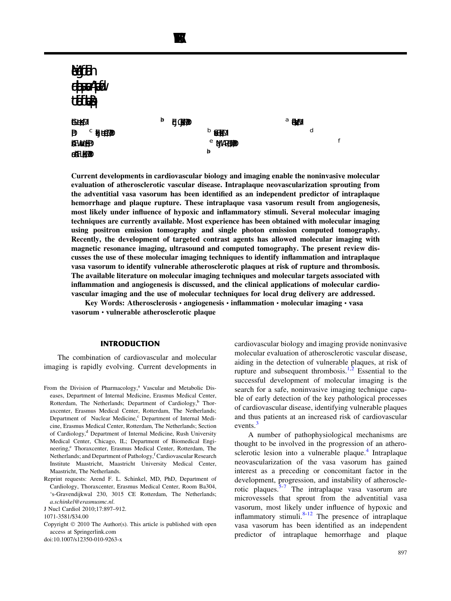# Molecular imaging of inßammation and intraplaque vasa vasorum: A step forward to identiÞcation of vulnerable plaques?

Gerrit L. ten Kate, MD, a,b Eric J. G. Sijbrands, MD, PhD,<sup>a</sup> Roelf Valkema, MD, PhD,<sup>c</sup> Folkert J. ten Cate, MD, PhD,<sup>b</sup> Steven B. Feinstein, MD, <sup>d</sup> Antonius F. W. van der Steen, PhD, <sup>e</sup> Mat J. A. P. Daemen, MD, PhD, <sup>f</sup> and Arend F. L. Schinkel, MD, PhD a,b

Current developments in cardiovascular biology and imaging enable the noninvasive molecular evaluation of atherosclerotic vascular disease. Intraplaque neovascularization sprouting from the adventitial vasa vasorum has been identified as an independent predictor of intraplaque hemorrhage and plaque rupture. These intraplaque vasa vasorum result from angiogenesis, most likely under influence of hypoxic and inflammatory stimuli. Several molecular imaging techniques are currently available. Most experience has been obtained with molecular imaging using positron emission tomography and single photon emission computed tomography. Recently, the development of targeted contrast agents has allowed molecular imaging with magnetic resonance imaging, ultrasound and computed tomography. The present review discusses the use of these molecular imaging techniques to identify inflammation and intraplaque vasa vasorum to identify vulnerable atherosclerotic plaques at risk of rupture and thrombosis. The available literature on molecular imaging techniques and molecular targets associated with inflammation and angiogenesis is discussed, and the clinical applications of molecular cardiovascular imaging and the use of molecular techniques for local drug delivery are addressed.

Key Words: Atherosclerosis • angiogenesis • inflammation • molecular imaging • vasa vasorum • vulnerable atherosclerotic plaque

#### INTRODUCTION

The combination of cardiovascular and molecular imaging is rapidly evolving. Current developments in

- From the Division of Pharmacology,<sup>a</sup> Vascular and Metabolic Diseases, Department of Internal Medicine, Erasmus Medical Center, Rotterdam, The Netherlands; Department of Cardiology,<sup>b</sup> Thoraxcenter, Erasmus Medical Center, Rotterdam, The Netherlands; Department of Nuclear Medicine,<sup>c</sup> Department of Internal Medicine, Erasmus Medical Center, Rotterdam, The Netherlands; Section of Cardiology,<sup>d</sup> Department of Internal Medicine, Rush University Medical Center, Chicago, IL; Department of Biomedical Engineering,<sup>e</sup> Thoraxcenter, Erasmus Medical Center, Rotterdam, The Netherlands; and Department of Pathology,<sup>f</sup> Cardiovascular Research Institute Maastricht, Maastricht University Medical Center, Maastricht, The Netherlands.
- Reprint requests: Arend F. L. Schinkel, MD, PhD, Department of Cardiology, Thoraxcenter, Erasmus Medical Center, Room Ba304, 's-Gravendijkwal 230, 3015 CE Rotterdam, The Netherlands; a.schinkel@erasmusmc.nl.

J Nucl Cardiol 2010;17:897–912.

1071-3581/\$34.00

Copyright  $\odot$  2010 The Author(s). This article is published with open access at Springerlink.com

doi:10.1007/s12350-010-9263-x

cardiovascular biology and imaging provide noninvasive molecular evaluation of atherosclerotic vascular disease, aiding in the detection of vulnerable plaques, at risk of rupture and subsequent thrombosis.<sup>1,2</sup> Essential to the successful development of molecular imaging is the search for a safe, noninvasive imaging technique capable of early detection of the key pathological processes of cardiovascular disease, identifying vulnerable plaques and thus patients at an increased risk of cardiovascular events.<sup>3</sup>

A number of pathophysiological mechanisms are thought to be involved in the progression of an atherosclerotic lesion into a vulnerable plaque.<sup>4</sup> Intraplaque neovascularization of the vasa vasorum has gained interest as a preceding or concomitant factor in the development, progression, and instability of atherosclerotic plaques.<sup>5-7</sup> The intraplaque vasa vasorum are microvessels that sprout from the adventitial vasa vasorum, most likely under influence of hypoxic and inflammatory stimuli. $8-12$  The presence of intraplaque vasa vasorum has been identified as an independent predictor of intraplaque hemorrhage and plaque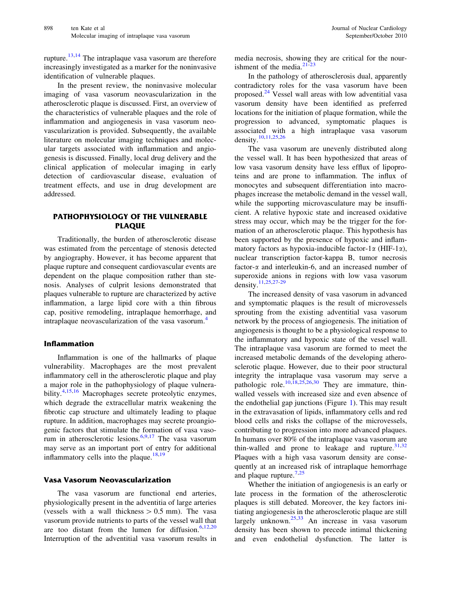rupture.<sup>[13,14](#page-12-0)</sup> The intraplaque vasa vasorum are therefore increasingly investigated as a marker for the noninvasive identification of vulnerable plaques.

In the present review, the noninvasive molecular imaging of vasa vasorum neovascularization in the atherosclerotic plaque is discussed. First, an overview of the characteristics of vulnerable plaques and the role of inflammation and angiogenesis in vasa vasorum neovascularization is provided. Subsequently, the available literature on molecular imaging techniques and molecular targets associated with inflammation and angiogenesis is discussed. Finally, local drug delivery and the clinical application of molecular imaging in early detection of cardiovascular disease, evaluation of treatment effects, and use in drug development are addressed.

# PATHOPHYSIOLOGY OF THE VULNERABLE PLAQUE

Traditionally, the burden of atherosclerotic disease was estimated from the percentage of stenosis detected by angiography. However, it has become apparent that plaque rupture and consequent cardiovascular events are dependent on the plaque composition rather than stenosis. Analyses of culprit lesions demonstrated that plaques vulnerable to rupture are characterized by active inflammation, a large lipid core with a thin fibrous cap, positive remodeling, intraplaque hemorrhage, and intraplaque neovascularization of the vasa vasorum.[4](#page-12-0)

# Inflammation

Inflammation is one of the hallmarks of plaque vulnerability. Macrophages are the most prevalent inflammatory cell in the atherosclerotic plaque and play a major role in the pathophysiology of plaque vulnera-bility.<sup>[4,15,16](#page-12-0)</sup> Macrophages secrete proteolytic enzymes, which degrade the extracellular matrix weakening the fibrotic cap structure and ultimately leading to plaque rupture. In addition, macrophages may secrete proangiogenic factors that stimulate the formation of vasa vasorum in atherosclerotic lesions. $6,9,17$  The vasa vasorum may serve as an important port of entry for additional inflammatory cells into the plaque. $18,19$  $18,19$  $18,19$ 

# Vasa Vasorum Neovascularization

The vasa vasorum are functional end arteries, physiologically present in the adventitia of large arteries (vessels with a wall thickness  $> 0.5$  mm). The vasa vasorum provide nutrients to parts of the vessel wall that are too distant from the lumen for diffusion.  $6,12,20$ Interruption of the adventitial vasa vasorum results in

media necrosis, showing they are critical for the nourishment of the media. $21-23$ 

In the pathology of atherosclerosis dual, apparently contradictory roles for the vasa vasorum have been proposed.<sup>[24](#page-12-0)</sup> Vessel wall areas with low adventitial vasa vasorum density have been identified as preferred locations for the initiation of plaque formation, while the progression to advanced, symptomatic plaques is associated with a high intraplaque vasa vasorum density. $10,11,25,26$ 

The vasa vasorum are unevenly distributed along the vessel wall. It has been hypothesized that areas of low vasa vasorum density have less efflux of lipoproteins and are prone to inflammation. The influx of monocytes and subsequent differentiation into macrophages increase the metabolic demand in the vessel wall, while the supporting microvasculature may be insufficient. A relative hypoxic state and increased oxidative stress may occur, which may be the trigger for the formation of an atherosclerotic plaque. This hypothesis has been supported by the presence of hypoxic and inflammatory factors as hypoxia-inducible factor-1 $\alpha$  (HIF-1 $\alpha$ ), nuclear transcription factor-kappa B, tumor necrosis factor-a and interleukin-6, and an increased number of superoxide anions in regions with low vasa vasorum density.[11,25,27-29](#page-12-0)

The increased density of vasa vasorum in advanced and symptomatic plaques is the result of microvessels sprouting from the existing adventitial vasa vasorum network by the process of angiogenesis. The initiation of angiogenesis is thought to be a physiological response to the inflammatory and hypoxic state of the vessel wall. The intraplaque vasa vasorum are formed to meet the increased metabolic demands of the developing atherosclerotic plaque. However, due to their poor structural integrity the intraplaque vasa vasorum may serve a pathologic role.<sup>[10,18](#page-12-0),[25,26,30](#page-12-0)</sup> They are immature, thinwalled vessels with increased size and even absence of the endothelial gap junctions (Figure [1](#page-2-0)). This may result in the extravasation of lipids, inflammatory cells and red blood cells and risks the collapse of the microvessels, contributing to progression into more advanced plaques. In humans over 80% of the intraplaque vasa vasorum are thin-walled and prone to leakage and rupture.  $31,32$ Plaques with a high vasa vasorum density are consequently at an increased risk of intraplaque hemorrhage and plaque rupture. $7,25$ 

Whether the initiation of angiogenesis is an early or late process in the formation of the atherosclerotic plaques is still debated. Moreover, the key factors initiating angiogenesis in the atherosclerotic plaque are still largely unknown. $25,33$  $25,33$  An increase in vasa vasorum density has been shown to precede intimal thickening and even endothelial dysfunction. The latter is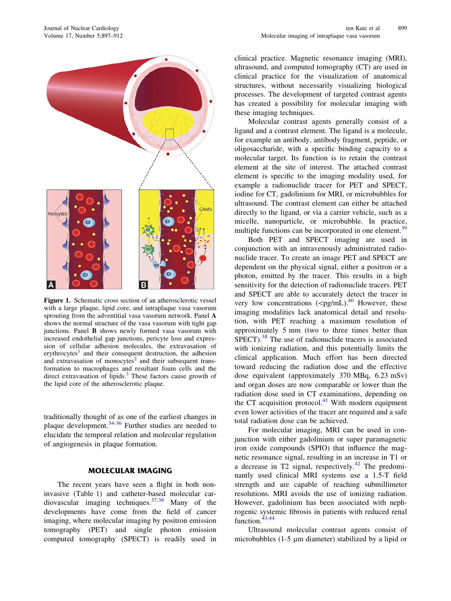<span id="page-2-0"></span>



Figure 1. Schematic cross section of an atherosclerotic vessel with a large plaque, lipid core, and intraplaque vasa vasorum sprouting from the adventitial vasa vasorum network. Panel A shows the normal structure of the vasa vasorum with tight gap junctions. Panel B shows newly formed vasa vasorum with increased endothelial gap junctions, pericyte loss and expression of cellular adhesion molecules, the extravasation of  $e$ rythrocytes<sup>[1](#page-12-0)</sup> and their consequent destruction, the adhesion and extravasation of monocytes<sup>[2](#page-12-0)</sup> and their subsequent transformation to macrophages and resultant foam cells and the direct extravasation of lipids.<sup>[3](#page-12-0)</sup> These factors cause growth of the lipid core of the atherosclerotic plaque.

traditionally thought of as one of the earliest changes in plaque development.[34](#page-13-0)-[36](#page-13-0) Further studies are needed to elucidate the temporal relation and molecular regulation of angiogenesis in plaque formation.

## MOLECULAR IMAGING

The recent years have seen a flight in both noninvasive (Table [1](#page-3-0)) and catheter-based molecular cardiovascular imaging techniques. $37,38$  Many of the developments have come from the field of cancer imaging, where molecular imaging by positron emission tomography (PET) and single photon emission computed tomography (SPECT) is readily used in clinical practice. Magnetic resonance imaging (MRI), ultrasound, and computed tomography (CT) are used in clinical practice for the visualization of anatomical structures, without necessarily visualizing biological processes. The development of targeted contrast agents has created a possibility for molecular imaging with these imaging techniques.

Molecular contrast agents generally consist of a ligand and a contrast element. The ligand is a molecule, for example an antibody, antibody fragment, peptide, or oligosaccharide, with a specific binding capacity to a molecular target. Its function is to retain the contrast element at the site of interest. The attached contrast element is specific to the imaging modality used, for example a radionuclide tracer for PET and SPECT, iodine for CT, gadolinium for MRI, or microbubbles for ultrasound. The contrast element can either be attached directly to the ligand, or via a carrier vehicle, such as a micelle, nanoparticle, or microbubble. In practice, multiple functions can be incorporated in one element.<sup>[39](#page-13-0)</sup>

Both PET and SPECT imaging are used in conjunction with an intravenously administrated radionuclide tracer. To create an image PET and SPECT are dependent on the physical signal, either a positron or a photon, emitted by the tracer. This results in a high sensitivity for the detection of radionuclide tracers. PET and SPECT are able to accurately detect the tracer in very low concentrations  $(.<sup>40</sup> However, these$ imaging modalities lack anatomical detail and resolution, with PET reaching a maximum resolution of approximately 5 mm (two to three times better than  $SPECT$ ).<sup>[38](#page-13-0)</sup> The use of radionuclide tracers is associated with ionizing radiation, and this potentially limits the clinical application. Much effort has been directed toward reducing the radiation dose and the effective dose equivalent (approximately 370 MBq, 6.23 mSv) and organ doses are now comparable or lower than the radiation dose used in CT examinations, depending on the CT acquisition protocol. $^{41}$  $^{41}$  $^{41}$  With modern equipment even lower activities of the tracer are required and a safe total radiation dose can be achieved.

For molecular imaging, MRI can be used in conjunction with either gadolinium or super paramagnetic iron oxide compounds (SPIO) that influence the magnetic resonance signal, resulting in an increase in T1 or a decrease in T2 signal, respectively.<sup>[42](#page-13-0)</sup> The predominantly used clinical MRI systems use a 1.5-T field strength and are capable of reaching submillimeter resolutions. MRI avoids the use of ionizing radiation. However, gadolinium has been associated with nephrogenic systemic fibrosis in patients with reduced renal function.<sup>[43,44](#page-13-0)</sup>

Ultrasound molecular contrast agents consist of microbubbles  $(1-5 \mu m)$  diameter) stabilized by a lipid or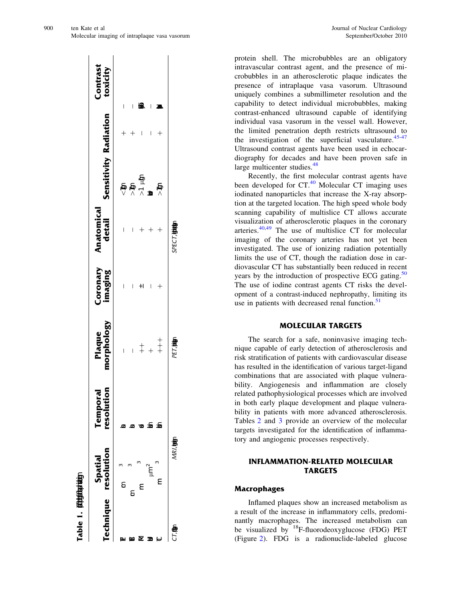<span id="page-3-0"></span>

|                   | Technique resolution<br>Spatial | Temporal<br>resolution | morphology<br>Plaque | Coronary<br>imaging | Anatomical<br>detail | Sensitivity Radiation | Contrast<br>toxicity |
|-------------------|---------------------------------|------------------------|----------------------|---------------------|----------------------|-----------------------|----------------------|
| <b>TEL</b>        | ີ່ເກີ                           | hours                  |                      |                     |                      | <1 pg/mL              |                      |
| SPECT             |                                 | hours                  |                      | I                   | I                    | $>1$ ng/mL            |                      |
| <b>MRI</b>        | $\sum_{i=1}^{n}$                | seconds                |                      |                     |                      | $1$ ug/mL             | Systemic Pbrosis     |
| <b>Jitrasound</b> | $\mathsf{m}^2$                  | milliseconds           |                      |                     |                      | Jnknown               |                      |
| 5                 | $\text{mm}^3$                   | milliseconds           | $+$<br>$+$           |                     |                      | $>1$ mg/mL            | Nephrotoxicity       |

 $\mathbf C$ 

protein shell. The microbubbles are an obligatory intravascular contrast agent, and the presence of microbubbles in an atherosclerotic plaque indicates the presence of intraplaque vasa vasorum. Ultrasound uniquely combines a submillimeter resolution and the capability to detect individual microbubbles, making contrast-enhanced ultrasound capable of identifying individual vasa vasorum in the vessel wall. However, the limited penetration depth restricts ultrasound to the investigation of the superficial vasculature. $45-47$  $45-47$  $45-47$ Ultrasound contrast agents have been used in echocardiography for decades and have been proven safe in large multicenter studies.<sup>[48](#page-13-0)</sup>

Recently, the first molecular contrast agents have been developed for  $CT<sup>40</sup>$  $CT<sup>40</sup>$  $CT<sup>40</sup>$  Molecular CT imaging uses iodinated nanoparticles that increase the X-ray absorption at the targeted location. The high speed whole body scanning capability of multislice CT allows accurate visualization of atherosclerotic plaques in the coronary arteries. $40,49$  The use of multislice CT for molecular imaging of the coronary arteries has not yet been investigated. The use of ionizing radiation potentially limits the use of CT, though the radiation dose in cardiovascular CT has substantially been reduced in recent years by the introduction of prospective ECG gating. $50$ The use of iodine contrast agents CT risks the development of a contrast-induced nephropathy, limiting its use in patients with decreased renal function.<sup>[51](#page-13-0)</sup>

#### MOLECULAR TARGETS

The search for a safe, noninvasive imaging technique capable of early detection of atherosclerosis and risk stratification of patients with cardiovascular disease has resulted in the identification of various target-ligand combinations that are associated with plaque vulnerability. Angiogenesis and inflammation are closely related pathophysiological processes which are involved in both early plaque development and plaque vulnerability in patients with more advanced atherosclerosis. Tables [2](#page-4-0) and [3](#page-6-0) provide an overview of the molecular targets investigated for the identification of inflammatory and angiogenic processes respectively.

# INFLAMMATION-RELATED MOLECULAR TARGETS

# Macrophages

Inflamed plaques show an increased metabolism as a result of the increase in inflammatory cells, predominantly macrophages. The increased metabolism can be visualized by  $^{18}$ F-fluorodeoxyglucose (FDG) PET (Figure [2\)](#page-7-0). FDG is a radionuclide-labeled glucose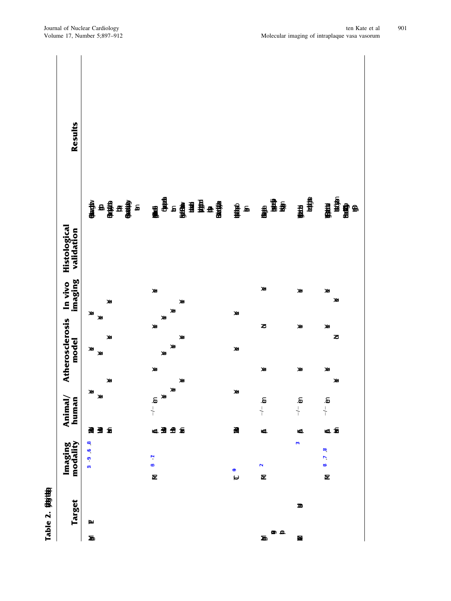<span id="page-4-0"></span>

| Target                              | modality<br>Imaging        | Animal/<br>human                                            | Atherosclerosis<br>model | imaging<br>In vivo       | Histological<br>validation | Results                                                                                                                                                                                                            |
|-------------------------------------|----------------------------|-------------------------------------------------------------|--------------------------|--------------------------|----------------------------|--------------------------------------------------------------------------------------------------------------------------------------------------------------------------------------------------------------------|
| Macrophages                         | PET <sup>52-59,61,62</sup> | WHHL rabbits<br>NZW rabbits<br>Humans                       | Yes<br>Yes<br>Yes        | Yes<br>Yes<br>Yes        | Yes<br>Yes<br>Yes          | FDG uptake was attenuated with lipid lowering<br>FDG uptake can possibly identify non stenotic<br>FDG uptake shows a good correlation with<br>macrophage count<br>culprit plaques                                  |
|                                     | $MRI$ 63-71                | Apo $E^{-/-}$ mice<br>WHHL rabbits<br>HHL rabbits<br>Humans | Yes<br>Yes<br>Yes<br>Yes | Yes<br>Yes<br>Yes<br>Yes | Yes<br>Yes<br>Yes<br>Yes   | Macrophage SPIO internalization is under inßuence<br>Signal decrease after SPIO administration was<br>of cytokines, serum components and statin<br>associated with increased endothelial<br>treatment<br>treatment |
|                                     | CT <sup>9</sup>            | NZW rabbits                                                 | Yes                      | Yes                      | Yes                        | lodinated nanoparticles identibed the presence of<br>permeability, high macrophage content and<br>SPIO was able to identify fatty streaks<br>plaque vulnerability<br>macrophages                                   |
| Macrophage<br>scavenger<br>receptor | MRI <sup>72</sup>          | ApoE $^{-/-}$ mice                                          | Yes                      | $\frac{1}{2}$            | Yes                        | macrophage scavenger receptor are specibcally<br>Gadolinium immunomicelles targeted at the<br>internalized by macrophages                                                                                          |
| VCAM-1                              |                            | Ultrasound $7^3$ ApoE <sup>-/-</sup> mice                   | Yes                      | Yes                      | Yes                        | Targeted microbubbles attached to endothelial<br>cells under pulsatile high shear stress                                                                                                                           |
|                                     | MRI 76,77,87               | ApoE $^{-/-}$ mice<br>Humans                                | Yes<br>Yes               | Yes<br>$\frac{1}{2}$     | Yes<br>Yes                 | Targeted SPIO compounds attached to activated<br>Statin treatment reduced VCAM-1 binding by<br>endothelial cells of early atheromas<br>targeted SPIO                                                               |

Table 2. Inßammatory molecular targets in the atherosclerotic plaque

Table 2. Inßammatory molecular targets in the atherosclerotic plaque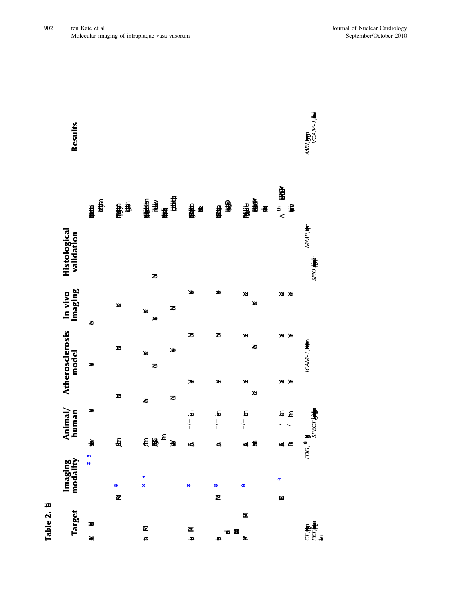| t |
|---|
|   |

| Target               | Imaging<br>modality                                            | Animal/<br>human                                                                                                                          | Atherosclerosis<br>model                        | imaging<br>In vivo   | Histological<br>validation            | Results                                                                                                                                                             |
|----------------------|----------------------------------------------------------------|-------------------------------------------------------------------------------------------------------------------------------------------|-------------------------------------------------|----------------------|---------------------------------------|---------------------------------------------------------------------------------------------------------------------------------------------------------------------|
| ICAM-1               |                                                                | Ultrasound 74,75 Yucatan swine                                                                                                            | Yes                                             | Yes                  | $\frac{1}{2}$                         | Targeted microbubbles attached to endothelial<br>cells of early atheromas                                                                                           |
|                      | MRI <sup>78</sup>                                              | SJL/J mice                                                                                                                                | $\frac{1}{2}$                                   | $\frac{1}{2}$        | Yes                                   | Plaque MR signal increase substantially after<br>gadolinium contrast administration                                                                                 |
| e-selectin           | MRI 83-85                                                      | Balb/c By JICo<br>nu/nu mice<br>Wistar rats<br>mice                                                                                       | $\frac{1}{2}$<br>$\frac{1}{2}$<br>$\frac{9}{2}$ | Yes<br>Yes<br>Yes    | $\frac{1}{2}$<br>Yes<br>$\frac{1}{2}$ | Targeted SPIO signiPcantly decreased the T2 time<br>Targeted gadolinium compounds signiPcantly<br>prolonged contrast retention in the plaque<br>in the vessels wall |
| p-selectin           | MRI <sup>87</sup>                                              | ApoE $^{-/-}$ mice                                                                                                                        | Yes                                             | $\frac{1}{2}$        | Yes                                   | Targeted SPIO showed speciPc attachment to<br>endothelial cells                                                                                                     |
| p-selectin<br>and    | MR1 <sup>87</sup>                                              | ApoE $^{-/-}$ mice                                                                                                                        | Yes                                             | $\frac{1}{2}$        | Yes                                   | Dual-targeted SPIO bound signibcantly stronger<br>than separate targeted SPIOOs                                                                                     |
| VCAM-1<br><b>MMP</b> | MRI <sup>89</sup>                                              | ApoE $^{-/-}$ mice<br>Humans                                                                                                              | Yes<br>Yes                                      | Yes<br>$\frac{1}{2}$ | Yes<br>Yes                            | differentiation between MMP-rich and MMP-<br>MMP targeted gadolinium assisted in the<br>poor plaques                                                                |
|                      | <b>SPEC<sup>PO</sup></b>                                       | ApoE $^{-/-}$ mice<br>$LDLR^{-/-}$ mice                                                                                                   | Yes<br>Yes                                      | Yes<br>Yes           | Yes<br>Yes                            | A 99m Tc-labeled MMP inhibitor identibed MMP<br>activity in vivo                                                                                                    |
| molecule-1.          | PET, positron emission tomography;<br>CT, Computed tomography; | <i>FDG, <sup>18</sup>F-9</i> uorodeoxyglucose; /CAM-1, interceilluar auresion<br>aphy; SPECT, single photon emission computed tomography; | ICAM-1, intercellular adhesion molecule-1;      |                      |                                       | SPIO, super paramagnetic iron oxide compound; VCAM-1, vascular cell adhesion<br>MRI, magnetic resonance imaging;<br>MMP, matrix metalloproteinase;                  |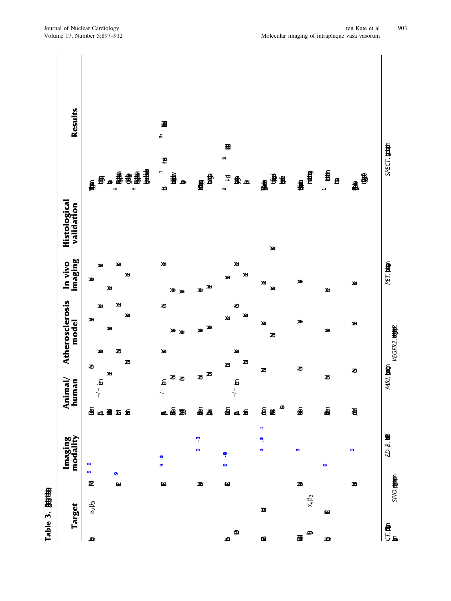| Target                                        | Imaging<br>modality                                                                | Animal/<br>human                                               | Atherosclerosis<br>model                                                                                                                                 | imaging<br>In vivo | Histological<br>validation | Results                                                                                                                           |
|-----------------------------------------------|------------------------------------------------------------------------------------|----------------------------------------------------------------|----------------------------------------------------------------------------------------------------------------------------------------------------------|--------------------|----------------------------|-----------------------------------------------------------------------------------------------------------------------------------|
| Integrin $\alpha_{\nu} \beta_3$               | MR <sub>195,96</sub>                                                               | mice<br>SCID <sub>I</sub>                                      | $\frac{1}{2}$                                                                                                                                            | Yes                | Yes                        | Targeted gadolinium compounds                                                                                                     |
|                                               |                                                                                    | $-/-$ mice<br>rabbits<br>NZW <sub>r</sub><br>ApoE <sup>-</sup> | Yes<br>Yes                                                                                                                                               | Yes<br>Yes         | Yes<br>Yes                 | detected angiogenic intraplaque<br>neovascularization                                                                             |
|                                               | PE <sup>-97</sup>                                                                  | Mice                                                           | $\frac{1}{2}$                                                                                                                                            | Yes                | Yes                        | <sup>18</sup> F-labeled antibody uptake showed a                                                                                  |
|                                               |                                                                                    | Humans                                                         | $\frac{1}{2}$                                                                                                                                            | Yes                | Yes                        | large inter and intra individual variation<br><sup>18</sup> F-labeled antibody uptake showed a<br>good correlation with histology |
|                                               | SPEC <sup>P8-100</sup>                                                             | ApoE $-/-$ mice                                                | Yes                                                                                                                                                      | $\frac{1}{2}$      | Yes                        | Both 111 <sub>In-and</sub> 99m Tc-labeled antibodies                                                                              |
|                                               |                                                                                    | C57BI/6 mice                                                   | $\frac{1}{2}$                                                                                                                                            | Yes                | Yes                        | showed signibcant correlation with                                                                                                |
|                                               |                                                                                    | Mongrel dogs                                                   | $\frac{1}{2}$                                                                                                                                            | Yes                | Yes                        | histology                                                                                                                         |
|                                               | Ultrasound 101 103                                                                 | 6 mice<br>C57BI/                                               | $\frac{1}{2}$                                                                                                                                            | Yes                | Yes                        | Microbubbles showed strong signal                                                                                                 |
|                                               |                                                                                    | Athymic rats                                                   | $\frac{1}{2}$                                                                                                                                            | Yes                | Yes                        | enhancement in angiogenic tissue                                                                                                  |
| Fibronectin                                   | SPEC <sup>+05</sup> 107                                                            | CD1 mice                                                       | $\frac{1}{2}$                                                                                                                                            | Yes                | Yes                        | $123$ $\mu$ and $125$ $\mu$ -labeled antibodies                                                                                   |
| ED-B                                          |                                                                                    | ApoE $-/-$ mice                                                | Yes                                                                                                                                                      | $\frac{1}{2}$      | Yes                        | selectively targets atherosclerotic                                                                                               |
|                                               |                                                                                    | Humans                                                         | $\frac{1}{2}$                                                                                                                                            | Yes                | Yes                        | plaques                                                                                                                           |
| VEGFR2                                        | Ultrasound <sup>103,110,111</sup>                                                  | mice<br>nu/nu                                                  | $\frac{1}{2}$                                                                                                                                            | Yes                | Yes                        | VEGFR2-targeted microbubbles were able                                                                                            |
|                                               |                                                                                    | 334<br>Fisher<br>rats                                          | ž                                                                                                                                                        | Yes                | Yes                        | to quantify anti-angiogenic and<br>gemcitabine treatment effects                                                                  |
|                                               |                                                                                    |                                                                |                                                                                                                                                          |                    |                            |                                                                                                                                   |
| Integrin $\alpha_{\nu} \beta_3$<br>VEGFR2 and | Ultrasound 103                                                                     | mice<br>Nude                                                   | $\frac{1}{2}$                                                                                                                                            | Yes                | Yes                        | Dual-targeted microbubbles improved the<br>in vivo identibcation of angiogenesis                                                  |
| Endoglin                                      | SPECT <sup>109</sup>                                                               | 6 mice<br>C57Bl                                                | $\frac{1}{2}$                                                                                                                                            | Yes                | Yes                        | <sup>111</sup> In-labeled antibodies accumulate in<br>tumor tissue                                                                |
|                                               | Ultrasound 110                                                                     | Mice<br>nu/nu                                                  | $\frac{1}{2}$                                                                                                                                            | Yes                | Yes                        | Endoglin-targeted microbubbles were able<br>to quantify gemcitabine treatment effect                                              |
| CT, Computed tomography;                      | tomography; SPIO, super paramagnetic iron oxide compound;<br>ED-B, extra-domain B; |                                                                | netic resonance imaging; PET, positron emission tomography;<br>VEGR2, vascular endothelial growth factor receptor 2.<br>MRI, magnetic resonance imaging; |                    |                            | SPECT, single photon emission computed                                                                                            |

<span id="page-6-0"></span>

Table 3. Angiogenic molecular targets in the atherosclerotic plaque

Table 3. Angiogenic molecular targets in the atherosclerotic plaque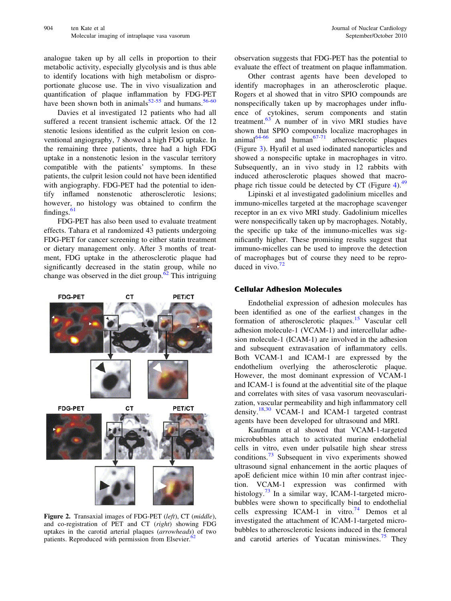<span id="page-7-0"></span>analogue taken up by all cells in proportion to their metabolic activity, especially glycolysis and is thus able to identify locations with high metabolism or disproportionate glucose use. The in vivo visualization and quantification of plaque inflammation by FDG-PET have been shown both in animals $52-55$  and humans.  $56-60$ 

Davies et al investigated 12 patients who had all suffered a recent transient ischemic attack. Of the 12 stenotic lesions identified as the culprit lesion on conventional angiography, 7 showed a high FDG uptake. In the remaining three patients, three had a high FDG uptake in a nonstenotic lesion in the vascular territory compatible with the patients' symptoms. In these patients, the culprit lesion could not have been identified with angiography. FDG-PET had the potential to identify inflamed nonstenotic atherosclerotic lesions; however, no histology was obtained to confirm the findings. $61$ 

FDG-PET has also been used to evaluate treatment effects. Tahara et al randomized 43 patients undergoing FDG-PET for cancer screening to either statin treatment or dietary management only. After 3 months of treatment, FDG uptake in the atherosclerotic plaque had significantly decreased in the statin group, while no change was observed in the diet group.<sup>[62](#page-13-0)</sup> This intriguing



Figure 2. Transaxial images of FDG-PET (left), CT (middle), and co-registration of PET and CT (right) showing FDG uptakes in the carotid arterial plaques (arrowheads) of two patients. Reproduced with permission from Elsevier.<sup>[62](#page-13-0)</sup>

observation suggests that FDG-PET has the potential to evaluate the effect of treatment on plaque inflammation.

Other contrast agents have been developed to identify macrophages in an atherosclerotic plaque. Rogers et al showed that in vitro SPIO compounds are nonspecifically taken up by macrophages under influence of cytokines, serum components and statin treatment. $63$  A number of in vivo MRI studies have shown that SPIO compounds localize macrophages in  $\text{animal}^{64-66}$  $\text{animal}^{64-66}$  $\text{animal}^{64-66}$  $\text{animal}^{64-66}$  and  $\text{human}^{67-71}$  $\text{human}^{67-71}$  $\text{human}^{67-71}$  atherosclerotic plaques (Figure [3\)](#page-8-0). Hyafil et al used iodinated nanoparticles and showed a nonspecific uptake in macrophages in vitro. Subsequently, an in vivo study in 12 rabbits with induced atherosclerotic plaques showed that macro-phage rich tissue could be detected by CT (Figure [4\)](#page-8-0). $49$ 

Lipinski et al investigated gadolinium micelles and immuno-micelles targeted at the macrophage scavenger receptor in an ex vivo MRI study. Gadolinium micelles were nonspecifically taken up by macrophages. Notably, the specific up take of the immuno-micelles was significantly higher. These promising results suggest that immuno-micelles can be used to improve the detection of macrophages but of course they need to be reproduced in vivo. $72$ 

# Cellular Adhesion Molecules

Endothelial expression of adhesion molecules has been identified as one of the earliest changes in the formation of atherosclerotic plaques.<sup>[15](#page-12-0)</sup> Vascular cell adhesion molecule-1 (VCAM-1) and intercellular adhesion molecule-1 (ICAM-1) are involved in the adhesion and subsequent extravasation of inflammatory cells. Both VCAM-1 and ICAM-1 are expressed by the endothelium overlying the atherosclerotic plaque. However, the most dominant expression of VCAM-1 and ICAM-1 is found at the adventitial site of the plaque and correlates with sites of vasa vasorum neovascularization, vascular permeability and high inflammatory cell density.<sup>[18,30](#page-12-0)</sup> VCAM-1 and ICAM-1 targeted contrast agents have been developed for ultrasound and MRI.

Kaufmann et al showed that VCAM-1-targeted microbubbles attach to activated murine endothelial cells in vitro, even under pulsatile high shear stress conditions.<sup>[73](#page-14-0)</sup> Subsequent in vivo experiments showed ultrasound signal enhancement in the aortic plaques of apoE deficient mice within 10 min after contrast injection. VCAM-1 expression was confirmed with histology.<sup>[73](#page-14-0)</sup> In a similar way, ICAM-1-targeted microbubbles were shown to specifically bind to endothelial cells expressing ICAM-1 in vitro.<sup>[74](#page-14-0)</sup> Demos et al investigated the attachment of ICAM-1-targeted microbubbles to atherosclerotic lesions induced in the femoral and carotid arteries of Yucatan miniswines.<sup>[75](#page-14-0)</sup> They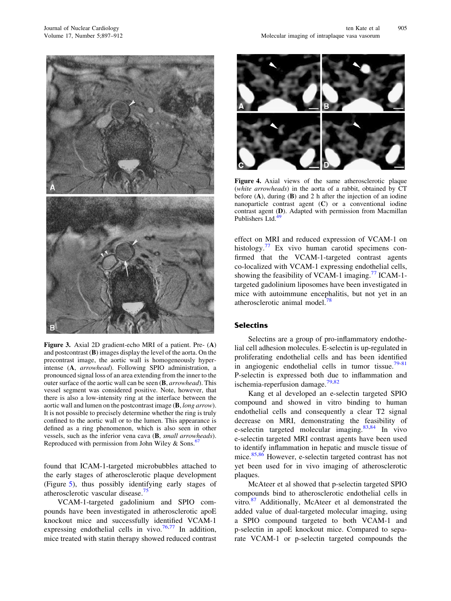<span id="page-8-0"></span>

Figure 3. Axial 2D gradient-echo MRI of a patient. Pre- (A) and postcontrast (B) images display the level of the aorta. On the precontrast image, the aortic wall is homogeneously hyperintense (A, arrowhead). Following SPIO administration, a pronounced signal loss of an area extending from the inner to the outer surface of the aortic wall can be seen (B, arrowhead). This vessel segment was considered positive. Note, however, that there is also a low-intensity ring at the interface between the aortic wall and lumen on the postcontrast image (B, long arrow). It is not possible to precisely determine whether the ring is truly confined to the aortic wall or to the lumen. This appearance is defined as a ring phenomenon, which is also seen in other vessels, such as the inferior vena cava (B, small arrowheads). Reproduced with permission from John Wiley & Sons.<sup>[67](#page-14-0)</sup>

found that ICAM-1-targeted microbubbles attached to the early stages of atherosclerotic plaque development (Figure [5\)](#page-9-0), thus possibly identifying early stages of atherosclerotic vascular disease.<sup>[75](#page-14-0)</sup>

VCAM-1-targeted gadolinium and SPIO compounds have been investigated in atherosclerotic apoE knockout mice and successfully identified VCAM-1 expressing endothelial cells in vivo.<sup>[76](#page-14-0),[77](#page-14-0)</sup> In addition, mice treated with statin therapy showed reduced contrast



Figure 4. Axial views of the same atherosclerotic plaque (white arrowheads) in the aorta of a rabbit, obtained by CT before  $(A)$ , during  $(B)$  and 2 h after the injection of an iodine nanoparticle contrast agent (C) or a conventional iodine contrast agent (D). Adapted with permission from Macmillan Publishers Ltd.<sup>49</sup>

effect on MRI and reduced expression of VCAM-1 on histology.<sup>[77](#page-14-0)</sup> Ex vivo human carotid specimens confirmed that the VCAM-1-targeted contrast agents co-localized with VCAM-1 expressing endothelial cells, showing the feasibility of VCAM-1 imaging.<sup>[77](#page-14-0)</sup> ICAM-1targeted gadolinium liposomes have been investigated in mice with autoimmune encephalitis, but not yet in an atherosclerotic animal model.<sup>[78](#page-14-0)</sup>

# **Selectins**

Selectins are a group of pro-inflammatory endothelial cell adhesion molecules. E-selectin is up-regulated in proliferating endothelial cells and has been identified in angiogenic endothelial cells in tumor tissue.<sup>[79](#page-14-0)-[81](#page-14-0)</sup> P-selectin is expressed both due to inflammation and ischemia-reperfusion damage.<sup>[79,82](#page-14-0)</sup>

Kang et al developed an e-selectin targeted SPIO compound and showed in vitro binding to human endothelial cells and consequently a clear T2 signal decrease on MRI, demonstrating the feasibility of e-selectin targeted molecular imaging. $83,84$  In vivo e-selectin targeted MRI contrast agents have been used to identify inflammation in hepatic and muscle tissue of mice.<sup>[85,86](#page-14-0)</sup> However, e-selectin targeted contrast has not yet been used for in vivo imaging of atherosclerotic plaques.

McAteer et al showed that p-selectin targeted SPIO compounds bind to atherosclerotic endothelial cells in vitro.<sup>[87](#page-14-0)</sup> Additionally, McAteer et al demonstrated the added value of dual-targeted molecular imaging, using a SPIO compound targeted to both VCAM-1 and p-selectin in apoE knockout mice. Compared to separate VCAM-1 or p-selectin targeted compounds the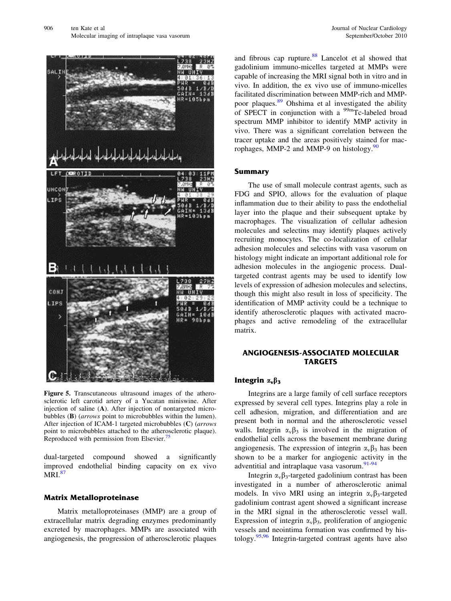<span id="page-9-0"></span>

Figure 5. Transcutaneous ultrasound images of the atherosclerotic left carotid artery of a Yucatan miniswine. After injection of saline (A). After injection of nontargeted microbubbles (B) (arrows point to microbubbles within the lumen). After injection of ICAM-1 targeted microbubbles (C) (arrows point to microbubbles attached to the atherosclerotic plaque). Reproduced with permission from Elsevier.<sup>7</sup>

dual-targeted compound showed a significantly improved endothelial binding capacity on ex vivo MRI.<sup>87</sup>

#### Matrix Metalloproteinase

Matrix metalloproteinases (MMP) are a group of extracellular matrix degrading enzymes predominantly excreted by macrophages. MMPs are associated with angiogenesis, the progression of atherosclerotic plaques

and fibrous cap rupture.<sup>[88](#page-14-0)</sup> Lancelot et al showed that gadolinium immuno-micelles targeted at MMPs were capable of increasing the MRI signal both in vitro and in vivo. In addition, the ex vivo use of immuno-micelles facilitated discrimination between MMP-rich and MMP-poor plaques.<sup>[89](#page-14-0)</sup> Ohshima et al investigated the ability of SPECT in conjunction with a  $\frac{99 \text{m}}{\text{TC}}$ -labeled broad spectrum MMP inhibitor to identify MMP activity in vivo. There was a significant correlation between the tracer uptake and the areas positively stained for macrophages, MMP-2 and MMP-9 on histology. $90$ 

#### Summary

The use of small molecule contrast agents, such as FDG and SPIO, allows for the evaluation of plaque inflammation due to their ability to pass the endothelial layer into the plaque and their subsequent uptake by macrophages. The visualization of cellular adhesion molecules and selectins may identify plaques actively recruiting monocytes. The co-localization of cellular adhesion molecules and selectins with vasa vasorum on histology might indicate an important additional role for adhesion molecules in the angiogenic process. Dualtargeted contrast agents may be used to identify low levels of expression of adhesion molecules and selectins, though this might also result in loss of specificity. The identification of MMP activity could be a technique to identify atherosclerotic plaques with activated macrophages and active remodeling of the extracellular matrix.

# ANGIOGENESIS-ASSOCIATED MOLECULAR TARGETS

# Integrin  $\alpha_{\rm v}\beta_3$

Integrins are a large family of cell surface receptors expressed by several cell types. Integrins play a role in cell adhesion, migration, and differentiation and are present both in normal and the atherosclerotic vessel walls. Integrin  $\alpha_{\rm v} \beta_3$  is involved in the migration of endothelial cells across the basement membrane during angiogenesis. The expression of integrin  $\alpha_{v}\beta_3$  has been shown to be a marker for angiogenic activity in the adventitial and intraplaque vasa vasorum.<sup>[91](#page-14-0)-[94](#page-14-0)</sup>

Integrin  $\alpha_{\rm v} \beta_3$ -targeted gadolinium contrast has been investigated in a number of atherosclerotic animal models. In vivo MRI using an integrin  $\alpha_{v} \beta_{3}$ -targeted gadolinium contrast agent showed a significant increase in the MRI signal in the atherosclerotic vessel wall. Expression of integrin  $\alpha_{\rm v} \beta_3$ , proliferation of angiogenic vessels and neointima formation was confirmed by histology.[95,96](#page-14-0) Integrin-targeted contrast agents have also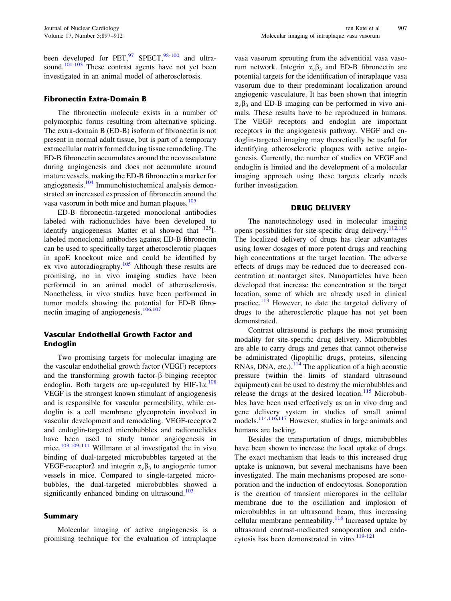been developed for PET, $97$  SPECT, $98-100$  and ultra-sound.<sup>[101](#page-15-0)-[103](#page-15-0)</sup> These contrast agents have not yet been investigated in an animal model of atherosclerosis.

## Fibronectin Extra-Domain B

The fibronectin molecule exists in a number of polymorphic forms resulting from alternative splicing. The extra-domain B (ED-B) isoform of fibronectin is not present in normal adult tissue, but is part of a temporary extracellular matrix formed during tissue remodeling. The ED-B fibronectin accumulates around the neovasculature during angiogenesis and does not accumulate around mature vessels, making the ED-B fibronectin a marker for angiogenesis.<sup>[104](#page-15-0)</sup> Immunohistochemical analysis demonstrated an increased expression of fibronectin around the vasa vasorum in both mice and human plaques.<sup>[105](#page-15-0)</sup>

ED-B fibronectin-targeted monoclonal antibodies labeled with radionuclides have been developed to identify angiogenesis. Matter et al showed that  $^{125}$ Ilabeled monoclonal antibodies against ED-B fibronectin can be used to specifically target atherosclerotic plaques in apoE knockout mice and could be identified by ex vivo autoradiography. $105$  Although these results are promising, no in vivo imaging studies have been performed in an animal model of atherosclerosis. Nonetheless, in vivo studies have been performed in tumor models showing the potential for ED-B fibronectin imaging of angiogenesis.[106,107](#page-15-0)

# Vascular Endothelial Growth Factor and Endoglin

Two promising targets for molecular imaging are the vascular endothelial growth factor (VEGF) receptors and the transforming growth factor- $\beta$  binging receptor endoglin. Both targets are up-regulated by  $HIF-1\alpha$ .<sup>[108](#page-15-0)</sup> VEGF is the strongest known stimulant of angiogenesis and is responsible for vascular permeability, while endoglin is a cell membrane glycoprotein involved in vascular development and remodeling. VEGF-receptor2 and endoglin-targeted microbubbles and radionuclides have been used to study tumor angiogenesis in mice.[103,109](#page-15-0)-[111](#page-15-0) Willmann et al investigated the in vivo binding of dual-targeted microbubbles targeted at the VEGF-receptor2 and integrin  $\alpha_{\rm v} \beta_3$  to angiogenic tumor vessels in mice. Compared to single-targeted microbubbles, the dual-targeted microbubbles showed a significantly enhanced binding on ultrasound. $103$ 

## Summary

Molecular imaging of active angiogenesis is a promising technique for the evaluation of intraplaque

vasa vasorum sprouting from the adventitial vasa vasorum network. Integrin  $\alpha_{v} \beta_3$  and ED-B fibronectin are potential targets for the identification of intraplaque vasa vasorum due to their predominant localization around angiogenic vasculature. It has been shown that integrin  $\alpha_{\rm v}$  $\beta_3$  and ED-B imaging can be performed in vivo animals. These results have to be reproduced in humans. The VEGF receptors and endoglin are important receptors in the angiogenesis pathway. VEGF and endoglin-targeted imaging may theoretically be useful for identifying atherosclerotic plaques with active angiogenesis. Currently, the number of studies on VEGF and endoglin is limited and the development of a molecular imaging approach using these targets clearly needs further investigation.

## DRUG DELIVERY

The nanotechnology used in molecular imaging opens possibilities for site-specific drug delivery.<sup>[112,113](#page-15-0)</sup> The localized delivery of drugs has clear advantages using lower dosages of more potent drugs and reaching high concentrations at the target location. The adverse effects of drugs may be reduced due to decreased concentration at nontarget sites. Nanoparticles have been developed that increase the concentration at the target location, some of which are already used in clinical practice.<sup>[113](#page-15-0)</sup> However, to date the targeted delivery of drugs to the atherosclerotic plaque has not yet been demonstrated.

Contrast ultrasound is perhaps the most promising modality for site-specific drug delivery. Microbubbles are able to carry drugs and genes that cannot otherwise be administrated (lipophilic drugs, proteins, silencing RNAs, DNA, etc.). $^{114}$  $^{114}$  $^{114}$  The application of a high acoustic pressure (within the limits of standard ultrasound equipment) can be used to destroy the microbubbles and release the drugs at the desired location.<sup>[115](#page-15-0)</sup> Microbubbles have been used effectively as an in vivo drug and gene delivery system in studies of small animal models.<sup>[114,116,117](#page-15-0)</sup> However, studies in large animals and humans are lacking.

Besides the transportation of drugs, microbubbles have been shown to increase the local uptake of drugs. The exact mechanism that leads to this increased drug uptake is unknown, but several mechanisms have been investigated. The main mechanisms proposed are sonoporation and the induction of endocytosis. Sonoporation is the creation of transient micropores in the cellular membrane due to the oscillation and implosion of microbubbles in an ultrasound beam, thus increasing cellular membrane permeability.<sup>[118](#page-15-0)</sup> Increased uptake by ultrasound contrast-medicated sonoporation and endo-cytosis has been demonstrated in vitro.<sup>[119-121](#page-15-0)</sup>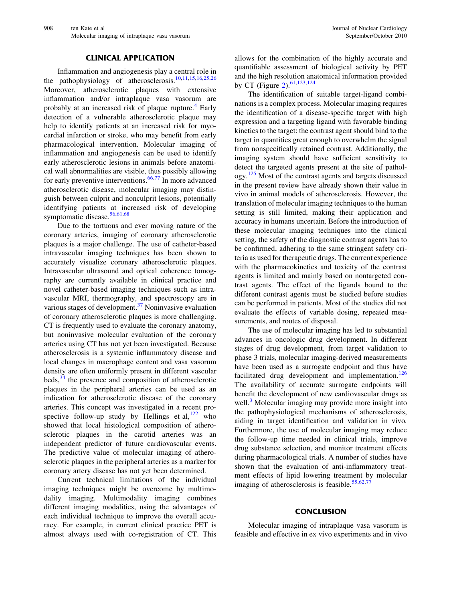#### CLINICAL APPLICATION

Inflammation and angiogenesis play a central role in the pathophysiology of atherosclerosis.<sup>[10,11,15,16,25,26](#page-12-0)</sup> Moreover, atherosclerotic plaques with extensive inflammation and/or intraplaque vasa vasorum are probably at an increased risk of plaque rupture.<sup>[4](#page-12-0)</sup> Early detection of a vulnerable atherosclerotic plaque may help to identify patients at an increased risk for myocardial infarction or stroke, who may benefit from early pharmacological intervention. Molecular imaging of inflammation and angiogenesis can be used to identify early atherosclerotic lesions in animals before anatomical wall abnormalities are visible, thus possibly allowing for early preventive interventions.<sup>[66,77](#page-14-0)</sup> In more advanced atherosclerotic disease, molecular imaging may distinguish between culprit and nonculprit lesions, potentially identifying patients at increased risk of developing symptomatic disease.<sup>[56,61](#page-13-0)[,68](#page-14-0)</sup>

Due to the tortuous and ever moving nature of the coronary arteries, imaging of coronary atherosclerotic plaques is a major challenge. The use of catheter-based intravascular imaging techniques has been shown to accurately visualize coronary atherosclerotic plaques. Intravascular ultrasound and optical coherence tomography are currently available in clinical practice and novel catheter-based imaging techniques such as intravascular MRI, thermography, and spectroscopy are in various stages of development. $37$  Noninvasive evaluation of coronary atherosclerotic plaques is more challenging. CT is frequently used to evaluate the coronary anatomy, but noninvasive molecular evaluation of the coronary arteries using CT has not yet been investigated. Because atherosclerosis is a systemic inflammatory disease and local changes in macrophage content and vasa vasorum density are often uniformly present in different vascular  $beds$ ,  $34$  the presence and composition of atherosclerotic plaques in the peripheral arteries can be used as an indication for atherosclerotic disease of the coronary arteries. This concept was investigated in a recent prospective follow-up study by Hellings et al, $122$  who showed that local histological composition of atherosclerotic plaques in the carotid arteries was an independent predictor of future cardiovascular events. The predictive value of molecular imaging of atherosclerotic plaques in the peripheral arteries as a marker for coronary artery disease has not yet been determined.

Current technical limitations of the individual imaging techniques might be overcome by multimodality imaging. Multimodality imaging combines different imaging modalities, using the advantages of each individual technique to improve the overall accuracy. For example, in current clinical practice PET is almost always used with co-registration of CT. This

allows for the combination of the highly accurate and quantifiable assessment of biological activity by PET and the high resolution anatomical information provided by CT (Figure [2](#page-7-0)).  $61,123,124$  $61,123,124$ 

The identification of suitable target-ligand combinations is a complex process. Molecular imaging requires the identification of a disease-specific target with high expression and a targeting ligand with favorable binding kinetics to the target: the contrast agent should bind to the target in quantities great enough to overwhelm the signal from nonspecifically retained contrast. Additionally, the imaging system should have sufficient sensitivity to detect the targeted agents present at the site of pathol-ogy.<sup>[125](#page-15-0)</sup> Most of the contrast agents and targets discussed in the present review have already shown their value in vivo in animal models of atherosclerosis. However, the translation of molecular imaging techniques to the human setting is still limited, making their application and accuracy in humans uncertain. Before the introduction of these molecular imaging techniques into the clinical setting, the safety of the diagnostic contrast agents has to be confirmed, adhering to the same stringent safety criteria as used for therapeutic drugs. The current experience with the pharmacokinetics and toxicity of the contrast agents is limited and mainly based on nontargeted contrast agents. The effect of the ligands bound to the different contrast agents must be studied before studies can be performed in patients. Most of the studies did not evaluate the effects of variable dosing, repeated measurements, and routes of disposal.

The use of molecular imaging has led to substantial advances in oncologic drug development. In different stages of drug development, from target validation to phase 3 trials, molecular imaging-derived measurements have been used as a surrogate endpoint and thus have facilitated drug development and implementation. $126$ The availability of accurate surrogate endpoints will benefit the development of new cardiovascular drugs as well.<sup>[3](#page-12-0)</sup> Molecular imaging may provide more insight into the pathophysiological mechanisms of atherosclerosis, aiding in target identification and validation in vivo. Furthermore, the use of molecular imaging may reduce the follow-up time needed in clinical trials, improve drug substance selection, and monitor treatment effects during pharmacological trials. A number of studies have shown that the evaluation of anti-inflammatory treatment effects of lipid lowering treatment by molecular imaging of atherosclerosis is feasible.<sup>[55,62](#page-13-0),[77](#page-14-0)</sup>

#### **CONCLUSION**

Molecular imaging of intraplaque vasa vasorum is feasible and effective in ex vivo experiments and in vivo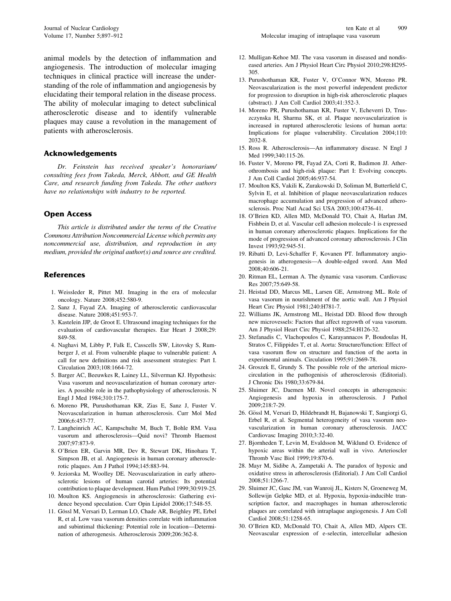<span id="page-12-0"></span>animal models by the detection of inflammation and angiogenesis. The introduction of molecular imaging techniques in clinical practice will increase the understanding of the role of inflammation and angiogenesis by elucidating their temporal relation in the disease process. The ability of molecular imaging to detect subclinical atherosclerotic disease and to identify vulnerable plaques may cause a revolution in the management of patients with atherosclerosis.

## Acknowledgements

Dr. Feinstein has received speaker's honorarium/ consulting fees from Takeda, Merck, Abbott, and GE Health Care, and research funding from Takeda. The other authors have no relationships with industry to be reported.

## Open Access

This article is distributed under the terms of the Creative Commons Attribution Noncommercial License which permits any noncommercial use, distribution, and reproduction in any medium, provided the original author(s) and source are credited.

## References

- 1. Weissleder R, Pittet MJ. Imaging in the era of molecular oncology. Nature 2008;452:580-9.
- 2. Sanz J, Fayad ZA. Imaging of atherosclerotic cardiovascular disease. Nature 2008;451:953-7.
- 3. Kastelein JJP, de Groot E. Ultrasound imaging techniques for the evaluation of cardiovascular therapies. Eur Heart J 2008;29: 849-58.
- 4. Naghavi M, Libby P, Falk E, Casscells SW, Litovsky S, Rumberger J, et al. From vulnerable plaque to vulnerable patient: A call for new definitions and risk assessment strategies: Part I. Circulation 2003;108:1664-72.
- 5. Barger AC, Beeuwkes R, Lainey LL, Silverman KJ. Hypothesis: Vasa vasorum and neovascularization of human coronary arteries. A possible role in the pathophysiology of atherosclerosis. N Engl J Med 1984;310:175-7.
- 6. Moreno PR, Purushothaman KR, Zias E, Sanz J, Fuster V. Neovascularization in human atherosclerosis. Curr Mol Med 2006;6:457-77.
- 7. Langheinrich AC, Kampschulte M, Buch T, Bohle RM. Vasa vasorum and atherosclerosis—Quid novi? Thromb Haemost 2007;97:873-9.
- 8. O'Brien ER, Garvin MR, Dev R, Stewart DK, Hinohara T, Simpson JB, et al. Angiogenesis in human coronary atherosclerotic plaques. Am J Pathol 1994;145:883-94.
- 9. Jeziorska M, Woolley DE. Neovascularization in early atherosclerotic lesions of human carotid arteries: Its potential contribution to plaque development. Hum Pathol 1999;30:919-25.
- 10. Moulton KS. Angiogenesis in atherosclerosis: Gathering evidence beyond speculation. Curr Opin Lipidol 2006;17:548-55.
- 11. Gössl M, Versari D, Lerman LO, Chade AR, Beighley PE, Erbel R, et al. Low vasa vasorum densities correlate with inflammation and subintimal thickening: Potential role in location—Determination of atherogenesis. Atherosclerosis 2009;206:362-8.
- 12. Mulligan-Kehoe MJ. The vasa vasorum in diseased and nondiseased arteries. Am J Physiol Heart Circ Physiol 2010;298:H295- 305.
- 13. Purushothaman KR, Fuster V, O'Connor WN, Moreno PR. Neovascularization is the most powerful independent predictor for progression to disruption in high-risk atherosclerotic plaques (abstract). J Am Coll Cardiol 2003;41:352-3.
- 14. Moreno PR, Purushothaman KR, Fuster V, Echeverri D, Truszczynska H, Sharma SK, et al. Plaque neovascularization is increased in ruptured atherosclerotic lesions of human aorta: Implications for plaque vulnerability. Circulation 2004;110: 2032-8.
- 15. Ross R. Atherosclerosis—An inflammatory disease. N Engl J Med 1999;340:115-26.
- 16. Fuster V, Moreno PR, Fayad ZA, Corti R, Badimon JJ. Atherothrombosis and high-risk plaque: Part I: Evolving concepts. J Am Coll Cardiol 2005;46:937-54.
- 17. Moulton KS, Vakili K, Zurakowski D, Soliman M, Butterfield C, Sylvin E, et al. Inhibition of plaque neovascularization reduces macrophage accumulation and progression of advanced atherosclerosis. Proc Natl Acad Sci USA 2003;100:4736-41.
- 18. O'Brien KD, Allen MD, McDonald TO, Chait A, Harlan JM, Fishbein D, et al. Vascular cell adhesion molecule-1 is expressed in human coronary atherosclerotic plaques. Implications for the mode of progression of advanced coronary atherosclerosis. J Clin Invest 1993;92:945-51.
- 19. Ribatti D, Levi-Schaffer F, Kovanen PT. Inflammatory angiogenesis in atherogenesis—A double-edged sword. Ann Med 2008;40:606-21.
- 20. Ritman EL, Lerman A. The dynamic vasa vasorum. Cardiovasc Res 2007;75:649-58.
- 21. Heistad DD, Marcus ML, Larsen GE, Armstrong ML. Role of vasa vasorum in nourishment of the aortic wall. Am J Physiol Heart Circ Physiol 1981;240:H781-7.
- 22. Williams JK, Armstrong ML, Heistad DD. Blood flow through new microvessels: Factors that affect regrowth of vasa vasorum. Am J Physiol Heart Circ Physiol 1988;254:H126-32.
- 23. Stefanadis C, Vlachopoulos C, Karayannacos P, Boudoulas H, Stratos C, Filippides T, et al. Aorta: Structure/function: Effect of vasa vasorum flow on structure and function of the aorta in experimental animals. Circulation 1995;91:2669-78.
- 24. Groszek E, Grundy S. The possible role of the arterioal microcirculation in the pathogenisis of atherosclerosis (Editorial). J Chronic Dis 1980;33:679-84.
- 25. Sluimer JC, Daemen MJ. Novel concepts in atherogenesis: Angiogenesis and hypoxia in atherosclerosis. J Pathol 2009;218:7-29.
- 26. Gössl M, Versari D, Hildebrandt H, Bajanowski T, Sangiorgi G, Erbel R, et al. Segmental heterogeneity of vasa vasorum neovascularization in human coronary atherosclerosis. JACC Cardiovasc Imaging 2010;3:32-40.
- 27. Bjornheden T, Levin M, Evaldsson M, Wiklund O. Evidence of hypoxic areas within the arterial wall in vivo. Arterioscler Thromb Vasc Biol 1999;19:870-6.
- 28. Mayr M, Sidibe A, Zampetaki A. The paradox of hypoxic and oxidative stress in atherosclerosis (Editorial). J Am Coll Cardiol 2008;51:1266-7.
- 29. Sluimer JC, Gasc JM, van Wanroij JL, Kisters N, Groeneweg M, Sollewijn Gelpke MD, et al. Hypoxia, hypoxia-inducible transcription factor, and macrophages in human atherosclerotic plaques are correlated with intraplaque angiogenesis. J Am Coll Cardiol 2008;51:1258-65.
- 30. O'Brien KD, McDonald TO, Chait A, Allen MD, Alpers CE. Neovascular expression of e-selectin, intercellular adhesion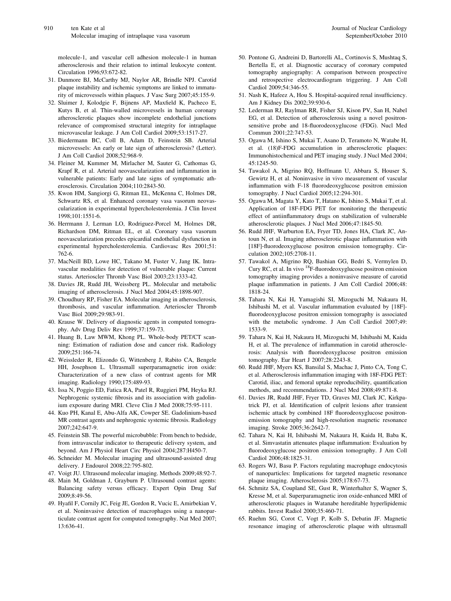<span id="page-13-0"></span>molecule-1, and vascular cell adhesion molecule-1 in human atherosclerosis and their relation to intimal leukocyte content. Circulation 1996;93:672-82.

- 31. Dunmore BJ, McCarthy MJ, Naylor AR, Brindle NPJ. Carotid plaque instability and ischemic symptoms are linked to immaturity of microvessels within plaques. J Vasc Surg 2007;45:155-9.
- 32. Sluimer J, Kolodgie F, Bijnens AP, Maxfield K, Pacheco E, Kutys B, et al. Thin-walled microvessels in human coronary atherosclerotic plaques show incomplete endothelial junctions relevance of compromised structural integrity for intraplaque microvascular leakage. J Am Coll Cardiol 2009;53:1517-27.
- 33. Biedermann BC, Coll B, Adam D, Feinstein SB. Arterial microvessels: An early or late sign of atherosclerosis? (Letter). J Am Coll Cardiol 2008;52:968-9.
- 34. Fleiner M, Kummer M, Mirlacher M, Sauter G, Cathomas G, Krapf R, et al. Arterial neovascularization and inflammation in vulnerable patients: Early and late signs of symptomatic atherosclerosis. Circulation 2004;110:2843-50.
- 35. Kwon HM, Sangiorgi G, Ritman EL, McKenna C, Holmes DR, Schwartz RS, et al. Enhanced coronary vasa vasorum neovascularization in experimental hypercholesterolemia. J Clin Invest 1998;101:1551-6.
- 36. Herrmann J, Lerman LO, Rodriguez-Porcel M, Holmes DR, Richardson DM, Ritman EL, et al. Coronary vasa vasorum neovascularization precedes epicardial endothelial dysfunction in experimental hypercholesterolemia. Cardiovasc Res 2001;51: 762-6.
- 37. MacNeill BD, Lowe HC, Takano M, Fuster V, Jang IK. Intravascular modalities for detection of vulnerable plaque: Current status. Arterioscler Thromb Vasc Biol 2003;23:1333-42.
- 38. Davies JR, Rudd JH, Weissberg PL. Molecular and metabolic imaging of atherosclerosis. J Nucl Med 2004;45:1898-907.
- 39. Choudhury RP, Fisher EA. Molecular imaging in atherosclerosis, thrombosis, and vascular inflammation. Arterioscler Thromb Vasc Biol 2009;29:983-91.
- 40. Krause W. Delivery of diagnostic agents in computed tomography. Adv Drug Deliv Rev 1999;37:159-73.
- 41. Huang B, Law MWM, Khong PL. Whole-body PET/CT scanning: Estimation of radiation dose and cancer risk. Radiology 2009;251:166-74.
- 42. Weissleder R, Elizondo G, Wittenberg J, Rabito CA, Bengele HH, Josephson L. Ultrasmall superparamagnetic iron oxide: Characterization of a new class of contrast agents for MR imaging. Radiology 1990;175:489-93.
- 43. Issa N, Poggio ED, Fatica RA, Patel R, Ruggieri PM, Heyka RJ. Nephrogenic systemic fibrosis and its association with gadolinium exposure during MRI. Cleve Clin J Med 2008;75:95-111.
- 44. Kuo PH, Kanal E, Abu-Alfa AK, Cowper SE. Gadolinium-based MR contrast agents and nephrogenic systemic fibrosis. Radiology 2007;242:647-9.
- 45. Feinstein SB. The powerful microbubble: From bench to bedside, from intravascular indicator to therapeutic delivery system, and beyond. Am J Physiol Heart Circ Physiol 2004;287:H450-7.
- 46. Schneider M. Molecular imaging and ultrasound-assisted drug delivery. J Endourol 2008;22:795-802.
- 47. Voigt JU. Ultrasound molecular imaging. Methods 2009;48:92-7.
- 48. Main M, Goldman J, Grayburn P. Ultrasound contrast agents: Balancing safety versus efficacy. Expert Opin Drug Saf 2009;8:49-56.
- 49. Hyafil F, Cornily JC, Feig JE, Gordon R, Vucic E, Amirbekian V, et al. Noninvasive detection of macrophages using a nanoparticulate contrast agent for computed tomography. Nat Med 2007; 13:636-41.
- 50. Pontone G, Andreini D, Bartorelli AL, Cortinovis S, Mushtaq S, Bertella E, et al. Diagnostic accuracy of coronary computed tomography angiography: A comparison between prospective and retrospective electrocardiogram triggering. J Am Coll Cardiol 2009;54:346-55.
- 51. Nash K, Hafeez A, Hou S. Hospital-acquired renal insufficiency. Am J Kidney Dis 2002;39:930-6.
- 52. Lederman RJ, Raylman RR, Fisher SJ, Kison PV, San H, Nabel EG, et al. Detection of atherosclerosis using a novel positronsensitive probe and 18-fluorodeoxyglucose (FDG). Nucl Med Commun 2001;22:747-53.
- 53. Ogawa M, Ishino S, Mukai T, Asano D, Teramoto N, Watabe H, et al. (18)F-FDG accumulation in atherosclerotic plaques: Immunohistochemical and PET imaging study. J Nucl Med 2004; 45:1245-50.
- 54. Tawakol A, Migrino RQ, Hoffmann U, Abbara S, Houser S, Gewirtz H, et al. Noninvasive in vivo measurement of vascular inflammation with F-18 fluorodeoxyglucose positron emission tomography. J Nucl Cardiol 2005;12:294-301.
- 55. Ogawa M, Magata Y, Kato T, Hatano K, Ishino S, Mukai T, et al. Application of 18F-FDG PET for monitoring the therapeutic effect of antiinflammatory drugs on stabilization of vulnerable atherosclerotic plaques. J Nucl Med 2006;47:1845-50.
- 56. Rudd JHF, Warburton EA, Fryer TD, Jones HA, Clark JC, Antoun N, et al. Imaging atherosclerotic plaque inflammation with [18F]-fluorodeoxyglucose positron emission tomography. Circulation 2002;105:2708-11.
- 57. Tawakol A, Migrino RQ, Bashian GG, Bedri S, Vermylen D, Cury RC, et al. In vivo <sup>18</sup>F-fluorodeoxyglucose positron emission tomography imaging provides a noninvasive measure of carotid plaque inflammation in patients. J Am Coll Cardiol 2006;48: 1818-24.
- 58. Tahara N, Kai H, Yamagishi SI, Mizoguchi M, Nakaura H, Ishibashi M, et al. Vascular inflammation evaluated by [18F] fluorodeoxyglucose positron emission tomography is associated with the metabolic syndrome. J Am Coll Cardiol 2007;49: 1533-9.
- 59. Tahara N, Kai H, Nakaura H, Mizoguchi M, Ishibashi M, Kaida H, et al. The prevalence of inflammation in carotid atherosclerosis: Analysis with fluorodeoxyglucose positron emission tomography. Eur Heart J 2007;28:2243-8.
- 60. Rudd JHF, Myers KS, Bansilal S, Machac J, Pinto CA, Tong C, et al. Atherosclerosis inflammation imaging with 18F-FDG PET: Carotid, iliac, and femoral uptake reproducibility, quantification methods, and recommendations. J Nucl Med 2008;49:871-8.
- 61. Davies JR, Rudd JHF, Fryer TD, Graves MJ, Clark JC, Kirkpatrick PJ, et al. Identification of culprit lesions after transient ischemic attack by combined 18F fluorodeoxyglucose positronemission tomography and high-resolution magnetic resonance imaging. Stroke 2005;36:2642-7.
- 62. Tahara N, Kai H, Ishibashi M, Nakaura H, Kaida H, Baba K, et al. Simvastatin attenuates plaque inflammation: Evaluation by fluorodeoxyglucose positron emission tomography. J Am Coll Cardiol 2006;48:1825-31.
- 63. Rogers WJ, Basu P. Factors regulating macrophage endocytosis of nanoparticles: Implications for targeted magnetic resonance plaque imaging. Atherosclerosis 2005;178:67-73.
- 64. Schmitz SA, Coupland SE, Gust R, Winterhalter S, Wagner S, Kresse M, et al. Superparamagnetic iron oxide-enhanced MRI of atherosclerotic plaques in Watanabe hereditable hyperlipidemic rabbits. Invest Radiol 2000;35:460-71.
- 65. Ruehm SG, Corot C, Vogt P, Kolb S, Debatin JF. Magnetic resonance imaging of atherosclerotic plaque with ultrasmall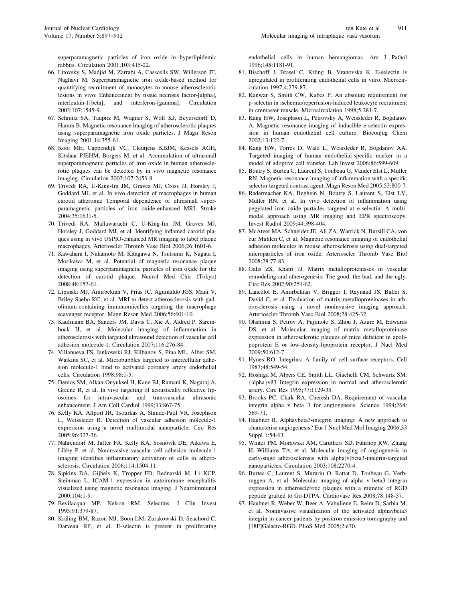<span id="page-14-0"></span>superparamagnetic particles of iron oxide in hyperlipidemic rabbits. Circulation 2001;103:415-22.

- 66. Litovsky S, Madjid M, Zarrabi A, Casscells SW, Willerson JT, Naghavi M. Superparamagnetic iron oxide-based method for quantifying recruitment of monocytes to mouse atherosclerotic lesions in vivo: Enhancement by tissue necrosis factor-[alpha], interleukin-1[beta], and interferon-[gamma]. Circulation 2003;107:1545-9.
- 67. Schmitz SA, Taupitz M, Wagner S, Wolf KJ, Beyersdorff D, Hamm B. Magnetic resonance imaging of atherosclerotic plaques using superparamagnetic iron oxide particles. J Magn Reson Imaging 2001;14:355-61.
- 68. Kooi ME, Cappendijk VC, Cleutjens KBJM, Kessels AGH, Kitslaar PJEHM, Borgers M, et al. Accumulation of ultrasmall superparamagnetic particles of iron oxide in human atherosclerotic plaques can be detected by in vivo magnetic resonance imaging. Circulation 2003;107:2453-8.
- 69. Trivedi RA, U-King-Im JM, Graves MJ, Cross JJ, Horsley J, Goddard MJ, et al. In vivo detection of macrophages in human carotid atheroma: Temporal dependence of ultrasmall superparamagnetic particles of iron oxide-enhanced MRI. Stroke 2004;35:1631-5.
- 70. Trivedi RA, Mallawarachi C, U-King-Im JM, Graves MJ, Horsley J, Goddard MJ, et al. Identifying inflamed carotid plaques using in vivo USPIO-enhanced MR imaging to label plaque macrophages. Arterioscler Thromb Vasc Biol 2006;26:1601-6.
- 71. Kawahara I, Nakamoto M, Kitagawa N, Tsutsumi K, Nagata I, Morikawa M, et al. Potential of magnetic resonance plaque imaging using superparamagnetic particles of iron oxide for the detection of carotid plaque. Neurol Med Chir (Tokyo) 2008;48:157-61.
- 72. Lipinski MJ, Amirbekian V, Frias JC, Aguinaldo JGS, Mani V, Briley-Saebo KC, et al. MRI to detect atherosclerosis with gadolinium-containing immunomicelles targeting the macrophage scavenger receptor. Magn Reson Med 2006;56:601-10.
- 73. Kaufmann BA, Sanders JM, Davis C, Xie A, Aldred P, Sarembock IJ, et al. Molecular imaging of inflammation in atherosclerosis with targeted ultrasound detection of vascular cell adhesion molecule-1. Circulation 2007;116:276-84.
- 74. Villanueva FS, Jankowski RJ, Klibanov S, Pina ML, Alber SM, Watkins SC, et al. Microbubbles targeted to intercellular adhesion molecule-1 bind to activated coronary artery endothelial cells. Circulation 1998;98:1-5.
- 75. Demos SM, Alkan-Onyuksel H, Kane BJ, Ramani K, Nagaraj A, Greene R, et al. In vivo targeting of acoustically reflective liposomes for intravascular and transvascular ultrasonic enhancement. J Am Coll Cardiol 1999;33:867-75.
- 76. Kelly KA, Allport JR, Tsourkas A, Shinde-Patil VR, Josephson L, Weissleder R. Detection of vascular adhesion molecule-1 expression using a novel multimodal nanoparticle. Circ Res 2005;96:327-36.
- 77. Nahrendorf M, Jaffer FA, Kelly KA, Sosnovik DE, Aikawa E, Libby P, et al. Noninvasive vascular cell adhesion molecule-1 imaging identifies inflammatory activation of cells in atherosclerosis. Circulation 2006;114:1504-11.
- 78. Sipkins DA, Gijbels K, Tropper FD, Bednarski M, Li KCP, Steinman L. ICAM-1 expression in autoimmune encephalitis visualized using magnetic resonance imaging. J Neuroimmunol 2000;104:1-9.
- 79. Bevilacqua MP, Nelson RM. Selectins. J Clin Invest 1993;91:379-87.
- 80. Kräling BM, Razon MJ, Boon LM, Zurakowski D, Seachord C, Darveau RP, et al. E-selectin is present in proliferating

endothelial cells in human hemangiomas. Am J Pathol 1996;148:1181-91.

- 81. Bischoff J, Brasel C, Krling B, Vranovska K. E-selectin is upregulated in proliferating endothelial cells in vitro. Microcirculation 1997;4:279-87.
- 82. Kanwar S, Smith CW, Kubes P. An absolute requirement for p-selectin in ischemia/reperfusion-induced leukocyte recruitment in cremaster muscle. Microcirculation 1998;5:281-7.
- 83. Kang HW, Josephson L, Petrovsky A, Weissleder R, Bogdanov A. Magnetic resonance imaging of inducible e-selectin expression in human endothelial cell culture. Bioconjug Chem 2002;13:122-7.
- 84. Kang HW, Torres D, Wald L, Weissleder R, Bogdanov AA. Targeted imaging of human endothelial-specific marker in a model of adoptive cell transfer. Lab Invest 2006;86:599-609.
- 85. Boutry S, Burtea C, Laurent S, Toubeau G, Vander Elst L, Muller RN. Magnetic resonance imaging of inflammation with a specific selectin-targeted contrast agent. Magn Reson Med 2005;53:800-7.
- 86. Radermacher KA, Beghein N, Boutry S, Laurent S, Elst LV, Muller RN, et al. In vivo detection of inflammation using pegylated iron oxide particles targeted at e-selectin: A multimodal approach using MR imaging and EPR spectroscopy. Invest Radiol 2009;44:398-404.
- 87. McAteer MA, Schneider JE, Ali ZA, Warrick N, Bursill CA, von zur Muhlen C, et al. Magnetic resonance imaging of endothelial adhesion molecules in mouse atherosclerosis using dual-targeted microparticles of iron oxide. Arterioscler Thromb Vasc Biol 2008;28:77-83.
- 88. Galis ZS, Khatri JJ. Matrix metalloproteinases in vascular remodeling and atherogenesis: The good, the bad, and the ugly. Circ Res 2002;90:251-62.
- 89. Lancelot E, Amirbekian V, Brigger I, Raynaud JS, Ballet S, David C, et al. Evaluation of matrix metalloproteinases in atherosclerosis using a novel noninvasive imaging approach. Arterioscler Thromb Vasc Biol 2008;28:425-32.
- 90. Ohshima S, Petrov A, Fujimoto S, Zhou J, Azure M, Edwards DS, et al. Molecular imaging of matrix metalloproteinase expression in atherosclerotic plaques of mice deficient in apolipoprotein E or low-density-lipoprotein receptor. J Nucl Med 2009;50:612-7.
- 91. Hynes RO. Integrins: A family of cell surface receptors. Cell 1987;48:549-54.
- 92. Hoshiga M, Alpers CE, Smith LL, Giachelli CM, Schwartz SM. {alpha}vß3 Integrin expression in normal and atherosclerotic artery. Circ Res 1995;77:1129-35.
- 93. Brooks PC, Clark RA, Cheresh DA. Requirement of vascular integrin alpha v beta 3 for angiogenesis. Science 1994;264: 569-71.
- 94. Haubner R. Alphavbeta3-integrin imaging: A new approach to characterise angiogenesis? Eur J Nucl Med Mol Imaging 2006;33 Suppl 1:54-63.
- 95. Winter PM, Morawski AM, Caruthers SD, Fuhrhop RW, Zhang H, Williams TA, et al. Molecular imaging of angiogenesis in early-stage atherosclerosis with alpha(v)beta3-integrin-targeted nanoparticles. Circulation 2003;108:2270-4.
- 96. Burtea C, Laurent S, Murariu O, Rattat D, Toubeau G, Verbruggen A, et al. Molecular imaging of alpha v beta3 integrin expression in atherosclerotic plaques with a mimetic of RGD peptide grafted to Gd-DTPA. Cardiovasc Res 2008;78:148-57.
- 97. Haubner R, Weber W, Beer A, Vabuliene E, Reim D, Sarbia M, et al. Noninvasive visualization of the activated alphavbeta3 integrin in cancer patients by positron emission tomography and [18F]Galacto-RGD. PLoS Med 2005;2:e70.